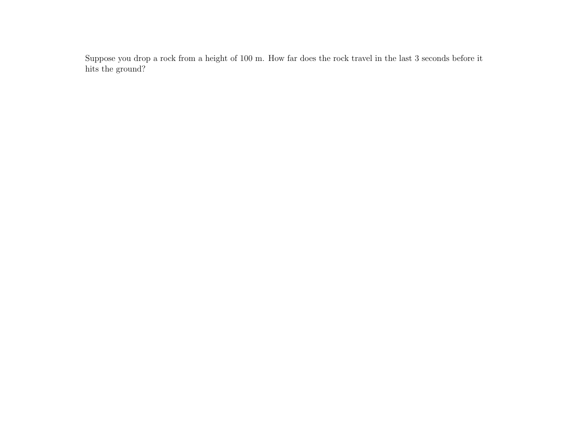Suppose you drop a rock from a height of 100 m. How far does the rock travel in the last 3 seconds before it hits the ground?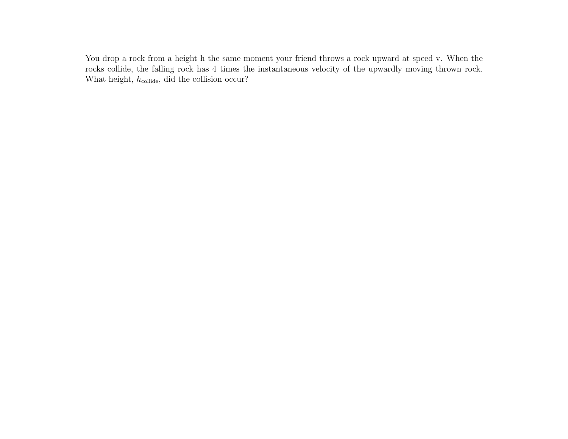You drop a rock from a height h the same moment your friend throws a rock upward at speed v. When the rocks collide, the falling rock has 4 times the instantaneous velocity of the upwardly moving thrown rock. What height,  $h_{\text{collide}}$ , did the collision occur?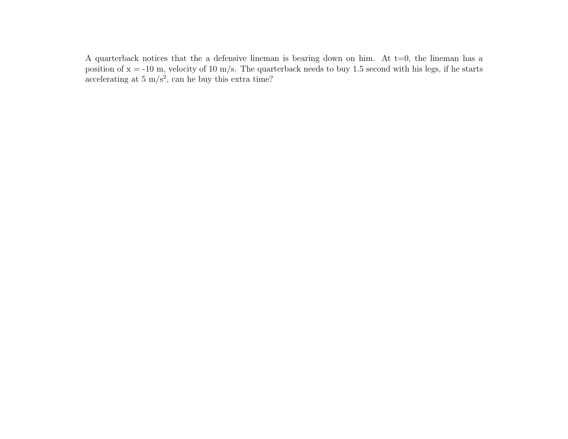A quarterback notices that the a defensive lineman is bearing down on him. At  $t=0$ , the lineman has a position of  $x = -10$  m, velocity of 10 m/s. The quarterback needs to buy 1.5 second with his legs, if he starts accelerating at  $5 \text{ m/s}^2$ , can he buy this extra time?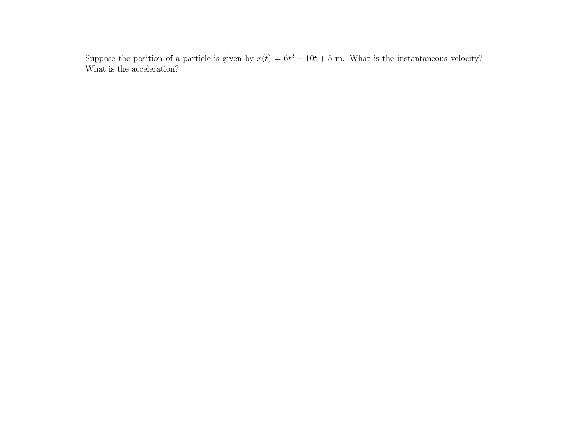Suppose the position of a particle is given by  $x(t) = 6t^2 - 10t + 5$  m. What is the instantaneous velocity? What is the acceleration?